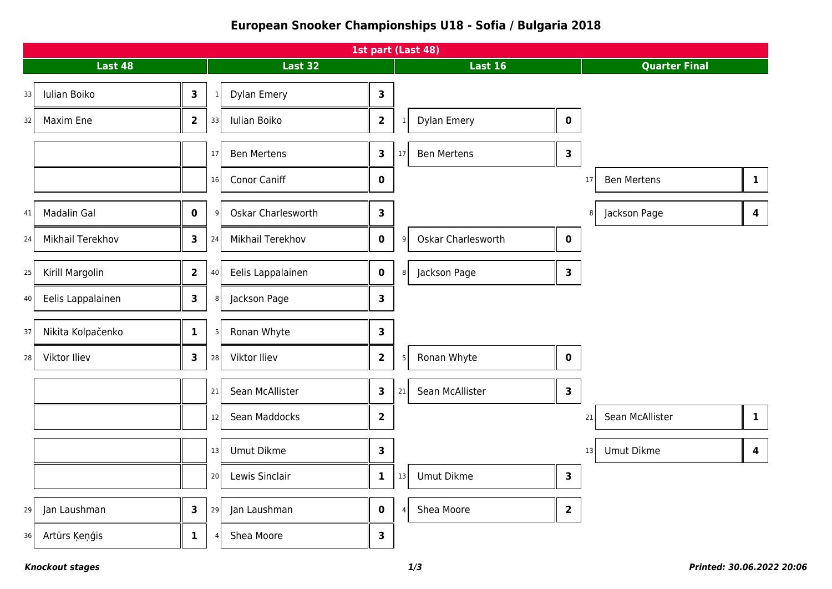## **European Snooker Championships U18 - Sofia / Bulgaria 2018**

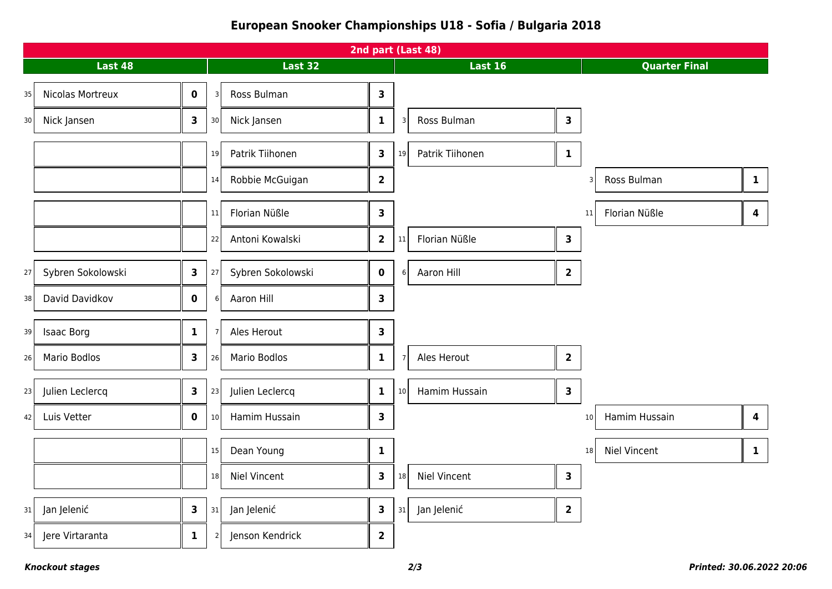## **European Snooker Championships U18 - Sofia / Bulgaria 2018**

| 2nd part (Last 48) |                                              |    |                                   |                         |    |                               |                      |                                                |
|--------------------|----------------------------------------------|----|-----------------------------------|-------------------------|----|-------------------------------|----------------------|------------------------------------------------|
| Last 48            |                                              |    | <b>Last 32</b>                    |                         |    | <b>Last 16</b>                | <b>Quarter Final</b> |                                                |
| 35                 | Nicolas Mortreux<br>$\mathbf 0$              |    | Ross Bulman<br>$\overline{3}$     | $\mathbf{3}$            |    |                               |                      |                                                |
| 30 <sup>1</sup>    | Nick Jansen<br>3                             | 30 | Nick Jansen                       | $\mathbf{1}$            |    | Ross Bulman<br>$\overline{3}$ | $\mathbf{3}$         |                                                |
|                    |                                              | 19 | Patrik Tiihonen                   | $\mathbf{3}$            | 19 | Patrik Tiihonen               | $\mathbf{1}$         |                                                |
|                    |                                              | 14 | Robbie McGuigan                   | $\overline{\mathbf{2}}$ |    |                               |                      | Ross Bulman<br>$\mathbf{1}$                    |
|                    |                                              | 11 | Florian Nüßle                     | $\mathbf{3}$            |    |                               |                      | Florian Nüßle<br>$\overline{\mathbf{4}}$<br>11 |
|                    |                                              | 22 | Antoni Kowalski                   | $\mathbf{2}$            | 11 | Florian Nüßle                 | $\mathbf{3}$         |                                                |
| 27                 | Sybren Sokolowski<br>$\overline{\mathbf{3}}$ | 27 | Sybren Sokolowski                 | $\mathbf 0$             |    | Aaron Hill<br>6               | $\overline{2}$       |                                                |
| 38                 | David Davidkov<br>$\mathbf 0$                |    | Aaron Hill<br>6                   | $\overline{\mathbf{3}}$ |    |                               |                      |                                                |
| 39                 | <b>Isaac Borg</b><br>$\mathbf{1}$            |    | Ales Herout<br>$\overline{7}$     | $\mathbf{3}$            |    |                               |                      |                                                |
| 26                 | <b>Mario Bodlos</b><br>3                     | 26 | Mario Bodlos                      | $\mathbf{1}$            |    | Ales Herout<br>$\overline{7}$ | $\overline{2}$       |                                                |
| 23                 | Julien Leclercq<br>$\overline{\mathbf{3}}$   | 23 | Julien Leclercq                   | $\mathbf{1}$            |    | Hamim Hussain<br>10           | $\mathbf{3}$         |                                                |
| 42                 | Luis Vetter<br>$\mathbf 0$                   | 10 | Hamim Hussain                     | $\mathbf{3}$            |    |                               |                      | Hamim Hussain<br>$\overline{\mathbf{4}}$<br>10 |
|                    |                                              | 15 | Dean Young                        | $\mathbf{1}$            |    |                               |                      | <b>Niel Vincent</b><br>$\mathbf{1}$<br>18      |
|                    |                                              | 18 | Niel Vincent                      | $\mathbf{3}$            | 18 | <b>Niel Vincent</b>           | $\mathbf{3}$         |                                                |
| 31                 | Jan Jelenić<br>3                             | 31 | Jan Jelenić                       | $\mathbf{3}$            | 31 | Jan Jelenić                   | $\overline{2}$       |                                                |
| 34                 | Jere Virtaranta<br>$\mathbf{1}$              |    | Jenson Kendrick<br>$\overline{2}$ | $\overline{2}$          |    |                               |                      |                                                |